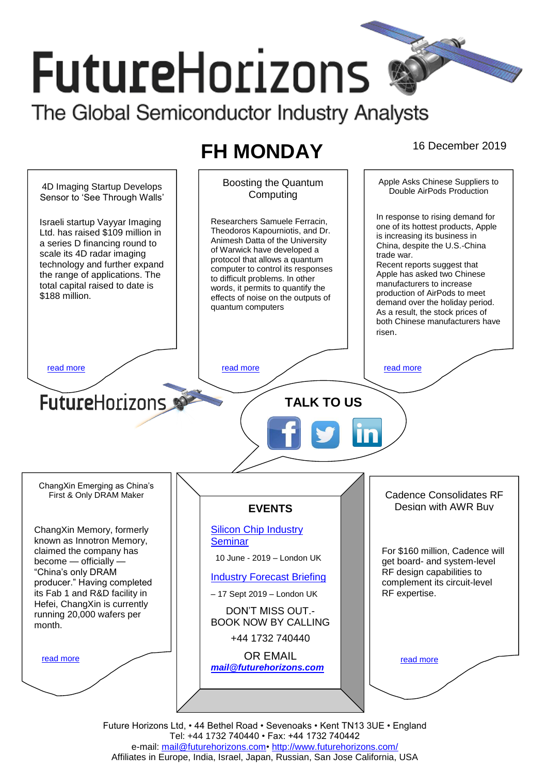# **FutureHorizons** The Global Semiconductor Industry Analysts

# **FH MONDAY** 16 December 2019



Tel: +44 1732 740440 • Fax: +44 1732 740442 e-mail: [mail@futurehorizons.com•](../FH%20Monday%20-%202017/mail@futurehorizons.com)<http://www.futurehorizons.com/> Affiliates in Europe, India, Israel, Japan, Russian, San Jose California, USA